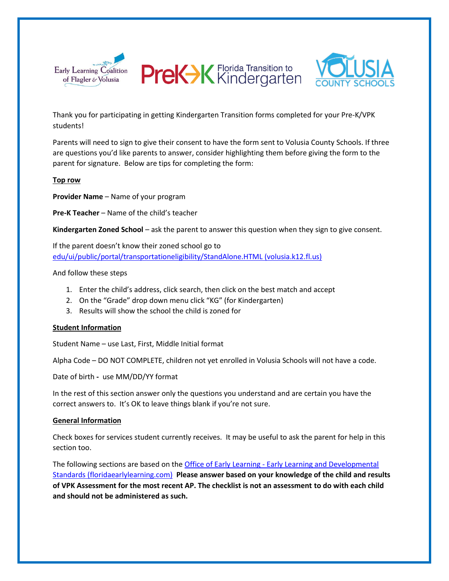





Thank you for participating in getting Kindergarten Transition forms completed for your Pre-K/VPK students!

Parents will need to sign to give their consent to have the form sent to Volusia County Schools. If three are questions you'd like parents to answer, consider highlighting them before giving the form to the parent for signature. Below are tips for completing the form:

## **Top row**

**Provider Name** – Name of your program

**Pre-K Teacher** – Name of the child's teacher

**Kindergarten Zoned School** – ask the parent to answer this question when they sign to give consent.

If the parent doesn't know their zoned school go to [edu/ui/public/portal/transportationeligibility/StandAlone.HTML \(volusia.k12.fl.us\)](https://veo.volusia.k12.fl.us/app/edu/ui/public/portal/transportationeligibility/standalone)

And follow these steps

- 1. Enter the child's address, click search, then click on the best match and accept
- 2. On the "Grade" drop down menu click "KG" (for Kindergarten)
- 3. Results will show the school the child is zoned for

## **Student Information**

Student Name – use Last, First, Middle Initial format

Alpha Code – DO NOT COMPLETE, children not yet enrolled in Volusia Schools will not have a code.

Date of birth **-** use MM/DD/YY format

In the rest of this section answer only the questions you understand and are certain you have the correct answers to. It's OK to leave things blank if you're not sure.

#### **General Information**

Check boxes for services student currently receives. It may be useful to ask the parent for help in this section too.

The following sections are based on the Office of Early Learning - [Early Learning and Developmental](http://flbt5.floridaearlylearning.com/)  [Standards \(floridaearlylearning.com\)](http://flbt5.floridaearlylearning.com/) **Please answer based on your knowledge of the child and results of VPK Assessment for the most recent AP. The checklist is not an assessment to do with each child and should not be administered as such.**